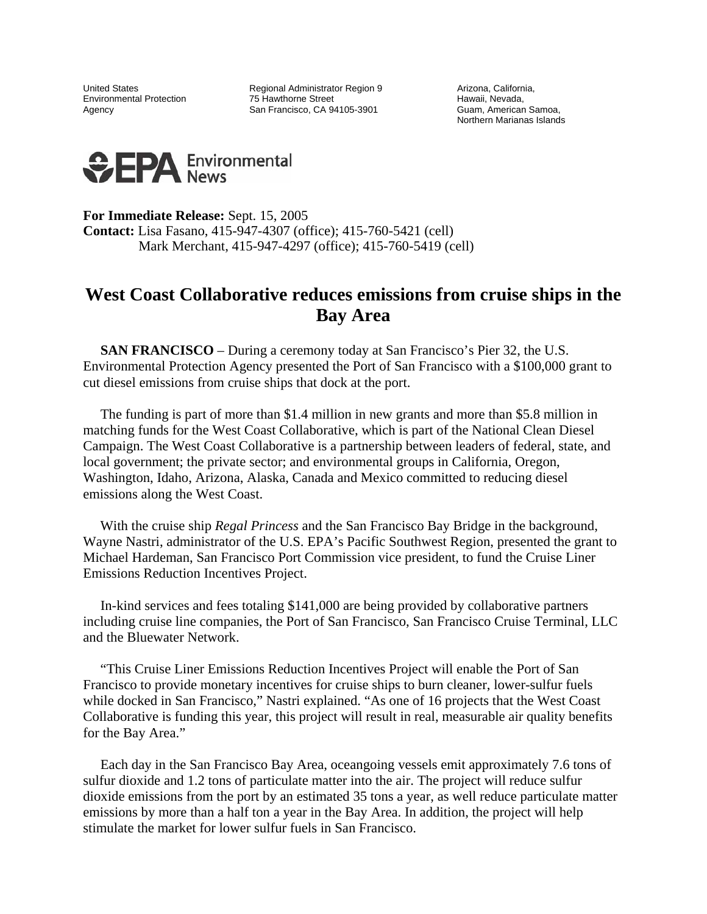United States **Regional Administrator Region 9** Arizona, California, Environmental Protection **75 Hawthorne Street** Theory of Hawaii, Nevada, Caency Control of Tawrene Street Hawaii, Nevada, Caency Control of Samoa, American Samoa, Agency **San Francisco, CA 94105-3901** 

Northern Marianas Islands



**For Immediate Release:** Sept. 15, 2005 **Contact:** Lisa Fasano, 415-947-4307 (office); 415-760-5421 (cell) Mark Merchant, 415-947-4297 (office); 415-760-5419 (cell)

## **West Coast Collaborative reduces emissions from cruise ships in the Bay Area**

 **SAN FRANCISCO** – During a ceremony today at San Francisco's Pier 32, the U.S. Environmental Protection Agency presented the Port of San Francisco with a \$100,000 grant to cut diesel emissions from cruise ships that dock at the port.

 The funding is part of more than \$1.4 million in new grants and more than \$5.8 million in matching funds for the West Coast Collaborative, which is part of the National Clean Diesel Campaign. The West Coast Collaborative is a partnership between leaders of federal, state, and local government; the private sector; and environmental groups in California, Oregon, Washington, Idaho, Arizona, Alaska, Canada and Mexico committed to reducing diesel emissions along the West Coast.

 With the cruise ship *Regal Princess* and the San Francisco Bay Bridge in the background, Wayne Nastri, administrator of the U.S. EPA's Pacific Southwest Region, presented the grant to Michael Hardeman, San Francisco Port Commission vice president, to fund the Cruise Liner Emissions Reduction Incentives Project.

 In-kind services and fees totaling \$141,000 are being provided by collaborative partners including cruise line companies, the Port of San Francisco, San Francisco Cruise Terminal, LLC and the Bluewater Network.

 "This Cruise Liner Emissions Reduction Incentives Project will enable the Port of San Francisco to provide monetary incentives for cruise ships to burn cleaner, lower-sulfur fuels while docked in San Francisco," Nastri explained. "As one of 16 projects that the West Coast Collaborative is funding this year, this project will result in real, measurable air quality benefits for the Bay Area."

 Each day in the San Francisco Bay Area, oceangoing vessels emit approximately 7.6 tons of sulfur dioxide and 1.2 tons of particulate matter into the air. The project will reduce sulfur dioxide emissions from the port by an estimated 35 tons a year, as well reduce particulate matter emissions by more than a half ton a year in the Bay Area. In addition, the project will help stimulate the market for lower sulfur fuels in San Francisco.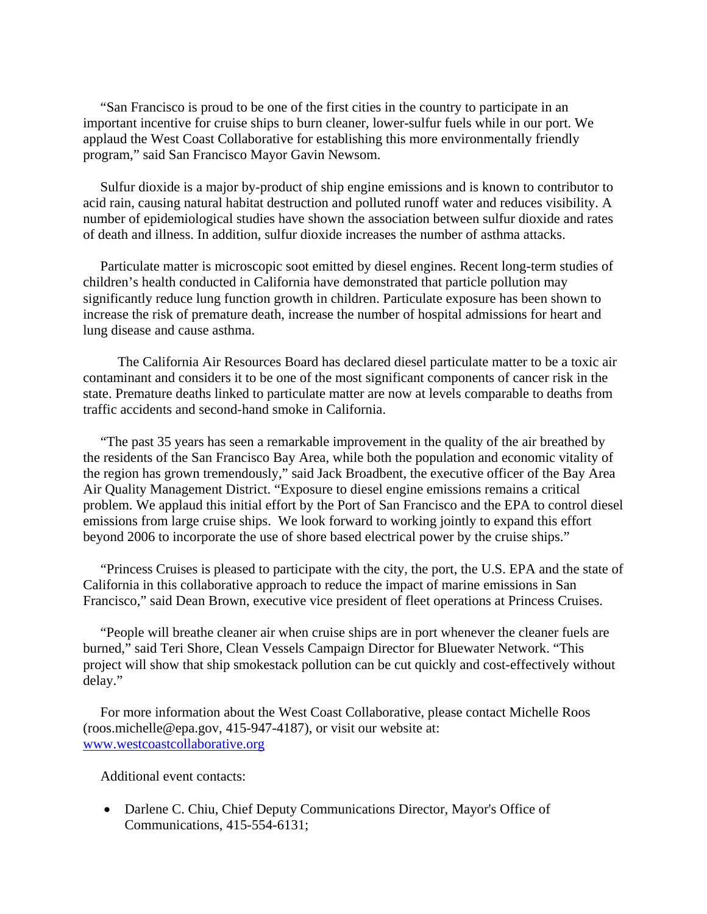"San Francisco is proud to be one of the first cities in the country to participate in an important incentive for cruise ships to burn cleaner, lower-sulfur fuels while in our port. We applaud the West Coast Collaborative for establishing this more environmentally friendly program," said San Francisco Mayor Gavin Newsom.

 Sulfur dioxide is a major by-product of ship engine emissions and is known to contributor to acid rain, causing natural habitat destruction and polluted runoff water and reduces visibility. A number of epidemiological studies have shown the association between sulfur dioxide and rates of death and illness. In addition, sulfur dioxide increases the number of asthma attacks.

 Particulate matter is microscopic soot emitted by diesel engines. Recent long-term studies of children's health conducted in California have demonstrated that particle pollution may significantly reduce lung function growth in children. Particulate exposure has been shown to increase the risk of premature death, increase the number of hospital admissions for heart and lung disease and cause asthma.

 The California Air Resources Board has declared diesel particulate matter to be a toxic air contaminant and considers it to be one of the most significant components of cancer risk in the state. Premature deaths linked to particulate matter are now at levels comparable to deaths from traffic accidents and second-hand smoke in California.

 "The past 35 years has seen a remarkable improvement in the quality of the air breathed by the residents of the San Francisco Bay Area, while both the population and economic vitality of the region has grown tremendously," said Jack Broadbent, the executive officer of the Bay Area Air Quality Management District. "Exposure to diesel engine emissions remains a critical problem. We applaud this initial effort by the Port of San Francisco and the EPA to control diesel emissions from large cruise ships. We look forward to working jointly to expand this effort beyond 2006 to incorporate the use of shore based electrical power by the cruise ships."

"Princess Cruises is pleased to participate with the city, the port, the U.S. EPA and the state of California in this collaborative approach to reduce the impact of marine emissions in San Francisco," said Dean Brown, executive vice president of fleet operations at Princess Cruises.

 "People will breathe cleaner air when cruise ships are in port whenever the cleaner fuels are burned," said Teri Shore, Clean Vessels Campaign Director for Bluewater Network. "This project will show that ship smokestack pollution can be cut quickly and cost-effectively without delay."

 For more information about the West Coast Collaborative, please contact Michelle Roos (roos.michelle@epa.gov, 415-947-4187), or visit our website at: www.westcoastcollaborative.org

Additional event contacts:

• Darlene C. Chiu, Chief Deputy Communications Director, Mayor's Office of Communications, 415-554-6131;